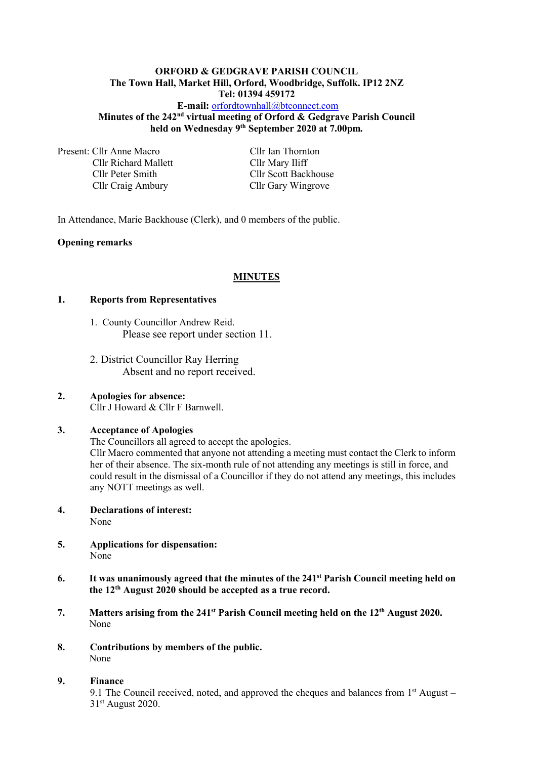## **ORFORD & GEDGRAVE PARISH COUNCIL The Town Hall, Market Hill, Orford, Woodbridge, Suffolk. IP12 2NZ Tel: 01394 459172**

#### **E-mail:** [orfordtownhall@btconnect.com](mailto:orfordtownhall@btconnect.com) **Minutes of the 242<sup>nd</sup> virtual meeting of Orford & Gedgrave Parish Council held on Wednesday 9 th September 2020 at 7.00pm***.*

Present: Cllr Anne Macro Cllr Ian Thornton Cllr Richard Mallett Cllr Mary Iliff Cllr Peter Smith Cllr Scott Backhouse Cllr Craig Ambury Cllr Gary Wingrove

In Attendance, Marie Backhouse (Clerk), and 0 members of the public.

## **Opening remarks**

## **MINUTES**

#### **1. Reports from Representatives**

- 1. County Councillor Andrew Reid. Please see report under section 11.
- 2. District Councillor Ray Herring Absent and no report received.

## **2. Apologies for absence:** Cllr J Howard & Cllr F Barnwell.

## **3. Acceptance of Apologies**

The Councillors all agreed to accept the apologies.

Cllr Macro commented that anyone not attending a meeting must contact the Clerk to inform her of their absence. The six-month rule of not attending any meetings is still in force, and could result in the dismissal of a Councillor if they do not attend any meetings, this includes any NOTT meetings as well.

- **4. Declarations of interest:** None
- **5. Applications for dispensation:** None
- **6. It was unanimously agreed that the minutes of the 241 st Parish Council meeting held on the 12th August 2020 should be accepted as a true record.**
- **7. Matters arising from the 241 st Parish Council meeting held on the 12th August 2020.** None
- **8. Contributions by members of the public.** None

#### **9. Finance**

9.1 The Council received, noted, and approved the cheques and balances from  $1<sup>st</sup>$  August – 31st August 2020.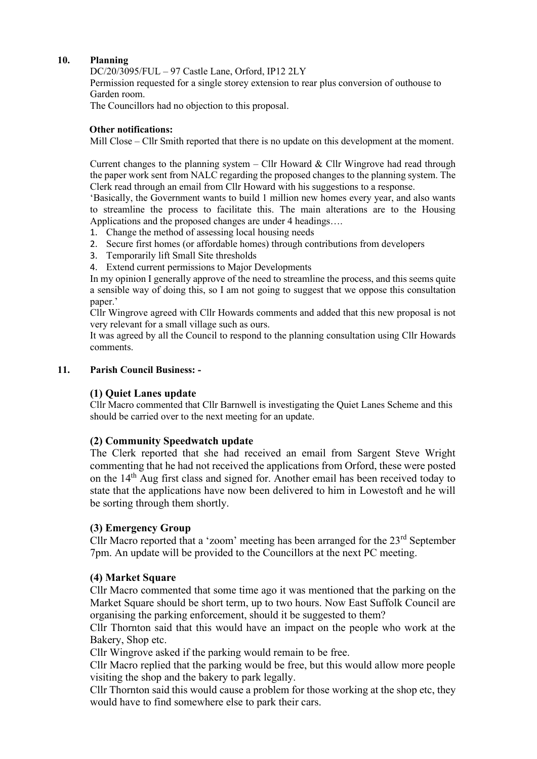## **10. Planning**

DC/20/3095/FUL – 97 Castle Lane, Orford, IP12 2LY

Permission requested for a single storey extension to rear plus conversion of outhouse to Garden room.

The Councillors had no objection to this proposal.

## **Other notifications:**

Mill Close – Cllr Smith reported that there is no update on this development at the moment.

Current changes to the planning system – Cllr Howard & Cllr Wingrove had read through the paper work sent from NALC regarding the proposed changes to the planning system. The Clerk read through an email from Cllr Howard with his suggestions to a response.

'Basically, the Government wants to build 1 million new homes every year, and also wants to streamline the process to facilitate this. The main alterations are to the Housing Applications and the proposed changes are under 4 headings….

- 1. Change the method of assessing local housing needs
- 2. Secure first homes (or affordable homes) through contributions from developers
- 3. Temporarily lift Small Site thresholds
- 4. Extend current permissions to Major Developments

In my opinion I generally approve of the need to streamline the process, and this seems quite a sensible way of doing this, so I am not going to suggest that we oppose this consultation paper.'

Cllr Wingrove agreed with Cllr Howards comments and added that this new proposal is not very relevant for a small village such as ours.

It was agreed by all the Council to respond to the planning consultation using Cllr Howards comments.

## **11. Parish Council Business: -**

## **(1) Quiet Lanes update**

Cllr Macro commented that Cllr Barnwell is investigating the Quiet Lanes Scheme and this should be carried over to the next meeting for an update.

## **(2) Community Speedwatch update**

The Clerk reported that she had received an email from Sargent Steve Wright commenting that he had not received the applications from Orford, these were posted on the 14th Aug first class and signed for. Another email has been received today to state that the applications have now been delivered to him in Lowestoft and he will be sorting through them shortly.

## **(3) Emergency Group**

Cllr Macro reported that a 'zoom' meeting has been arranged for the 23<sup>rd</sup> September 7pm. An update will be provided to the Councillors at the next PC meeting.

## **(4) Market Square**

Cllr Macro commented that some time ago it was mentioned that the parking on the Market Square should be short term, up to two hours. Now East Suffolk Council are organising the parking enforcement, should it be suggested to them?

Cllr Thornton said that this would have an impact on the people who work at the Bakery, Shop etc.

Cllr Wingrove asked if the parking would remain to be free.

Cllr Macro replied that the parking would be free, but this would allow more people visiting the shop and the bakery to park legally.

Cllr Thornton said this would cause a problem for those working at the shop etc, they would have to find somewhere else to park their cars.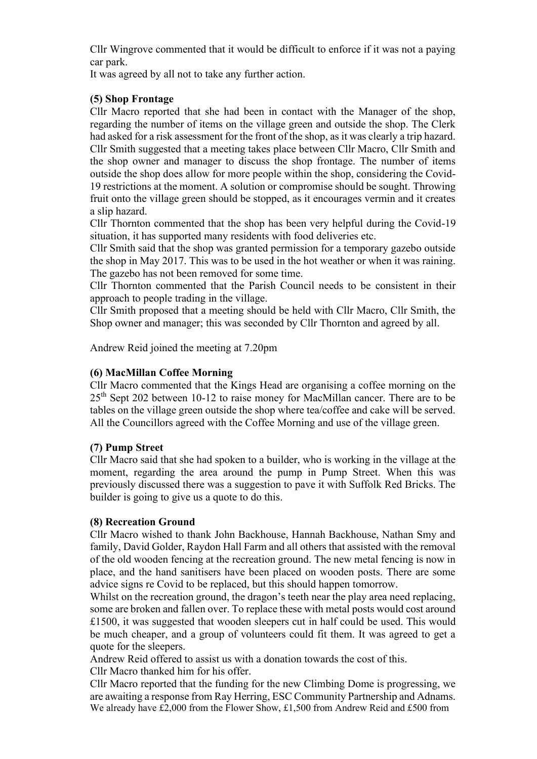Cllr Wingrove commented that it would be difficult to enforce if it was not a paying car park.

It was agreed by all not to take any further action.

# **(5) Shop Frontage**

Cllr Macro reported that she had been in contact with the Manager of the shop, regarding the number of items on the village green and outside the shop. The Clerk had asked for a risk assessment for the front of the shop, as it was clearly a trip hazard. Cllr Smith suggested that a meeting takes place between Cllr Macro, Cllr Smith and the shop owner and manager to discuss the shop frontage. The number of items outside the shop does allow for more people within the shop, considering the Covid-19 restrictions at the moment. A solution or compromise should be sought. Throwing fruit onto the village green should be stopped, as it encourages vermin and it creates a slip hazard.

Cllr Thornton commented that the shop has been very helpful during the Covid-19 situation, it has supported many residents with food deliveries etc.

Cllr Smith said that the shop was granted permission for a temporary gazebo outside the shop in May 2017. This was to be used in the hot weather or when it was raining. The gazebo has not been removed for some time.

Cllr Thornton commented that the Parish Council needs to be consistent in their approach to people trading in the village.

Cllr Smith proposed that a meeting should be held with Cllr Macro, Cllr Smith, the Shop owner and manager; this was seconded by Cllr Thornton and agreed by all.

Andrew Reid joined the meeting at 7.20pm

## **(6) MacMillan Coffee Morning**

Cllr Macro commented that the Kings Head are organising a coffee morning on the  $25<sup>th</sup>$  Sept 202 between 10-12 to raise money for MacMillan cancer. There are to be tables on the village green outside the shop where tea/coffee and cake will be served. All the Councillors agreed with the Coffee Morning and use of the village green.

## **(7) Pump Street**

Cllr Macro said that she had spoken to a builder, who is working in the village at the moment, regarding the area around the pump in Pump Street. When this was previously discussed there was a suggestion to pave it with Suffolk Red Bricks. The builder is going to give us a quote to do this.

## **(8) Recreation Ground**

Cllr Macro wished to thank John Backhouse, Hannah Backhouse, Nathan Smy and family, David Golder, Raydon Hall Farm and all others that assisted with the removal of the old wooden fencing at the recreation ground. The new metal fencing is now in place, and the hand sanitisers have been placed on wooden posts. There are some advice signs re Covid to be replaced, but this should happen tomorrow.

Whilst on the recreation ground, the dragon's teeth near the play area need replacing, some are broken and fallen over. To replace these with metal posts would cost around £1500, it was suggested that wooden sleepers cut in half could be used. This would be much cheaper, and a group of volunteers could fit them. It was agreed to get a quote for the sleepers.

Andrew Reid offered to assist us with a donation towards the cost of this.

Cllr Macro thanked him for his offer.

Cllr Macro reported that the funding for the new Climbing Dome is progressing, we are awaiting a response from Ray Herring, ESC Community Partnership and Adnams. We already have £2,000 from the Flower Show, £1,500 from Andrew Reid and £500 from